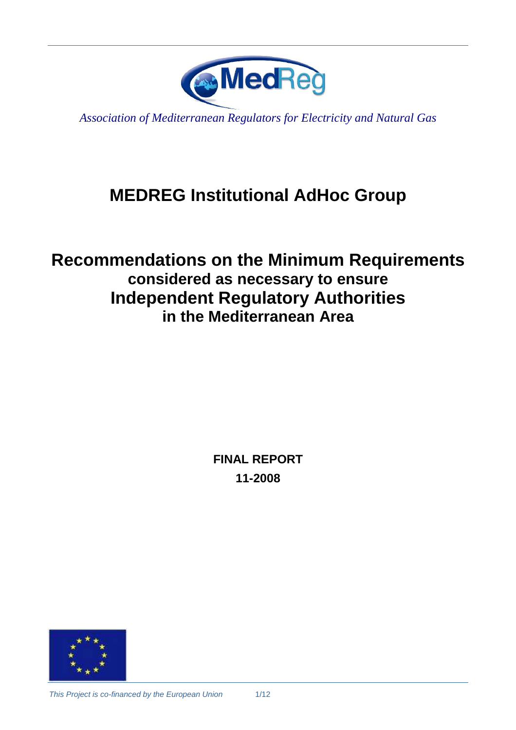

*Association of Mediterranean Regulators for Electricity and Natural Gas* 

# **MEDREG Institutional AdHoc Group**

## **Recommendations on the Minimum Requirements considered as necessary to ensure Independent Regulatory Authorities in the Mediterranean Area**

**FINAL REPORT 11-2008** 

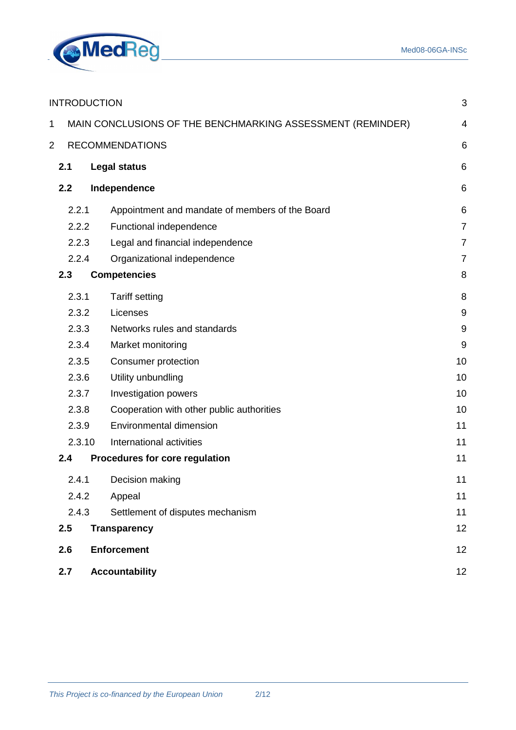

| <b>INTRODUCTION</b><br>3                                             |                                                            |                                                 |                |  |
|----------------------------------------------------------------------|------------------------------------------------------------|-------------------------------------------------|----------------|--|
| 1                                                                    | MAIN CONCLUSIONS OF THE BENCHMARKING ASSESSMENT (REMINDER) |                                                 |                |  |
| $\overline{2}$                                                       | <b>RECOMMENDATIONS</b><br>6                                |                                                 |                |  |
|                                                                      | 2.1                                                        | <b>Legal status</b>                             | 6              |  |
|                                                                      | 2.2                                                        | Independence                                    | 6              |  |
|                                                                      | 2.2.1                                                      | Appointment and mandate of members of the Board | 6              |  |
| 2.2.2<br>2.2.3                                                       |                                                            | Functional independence                         | $\overline{7}$ |  |
|                                                                      |                                                            | Legal and financial independence                | $\overline{7}$ |  |
|                                                                      | 2.2.4                                                      | Organizational independence                     | $\overline{7}$ |  |
|                                                                      | 2.3                                                        | <b>Competencies</b>                             | 8              |  |
|                                                                      | 2.3.1                                                      | <b>Tariff setting</b>                           | 8              |  |
| 2.3.2<br>2.3.3<br>2.3.4<br>2.3.5<br>2.3.6<br>2.3.7<br>2.3.8<br>2.3.9 |                                                            | Licenses                                        | 9              |  |
|                                                                      |                                                            | Networks rules and standards                    | 9              |  |
|                                                                      |                                                            | Market monitoring                               | 9              |  |
|                                                                      |                                                            | Consumer protection                             | 10             |  |
|                                                                      |                                                            | Utility unbundling                              | 10             |  |
|                                                                      |                                                            | Investigation powers                            | 10             |  |
|                                                                      |                                                            | Cooperation with other public authorities       | 10             |  |
|                                                                      |                                                            | <b>Environmental dimension</b>                  | 11             |  |
|                                                                      | 2.3.10                                                     | International activities                        | 11             |  |
|                                                                      | 2.4                                                        | Procedures for core regulation                  | 11             |  |
|                                                                      | 2.4.1                                                      | Decision making                                 | 11             |  |
|                                                                      | 2.4.2                                                      | Appeal                                          | 11             |  |
|                                                                      | 2.4.3                                                      | Settlement of disputes mechanism                | 11             |  |
|                                                                      | 2.5                                                        | <b>Transparency</b>                             | 12             |  |
|                                                                      | 2.6<br><b>Enforcement</b>                                  |                                                 |                |  |
|                                                                      | 2.7<br><b>Accountability</b><br>12                         |                                                 |                |  |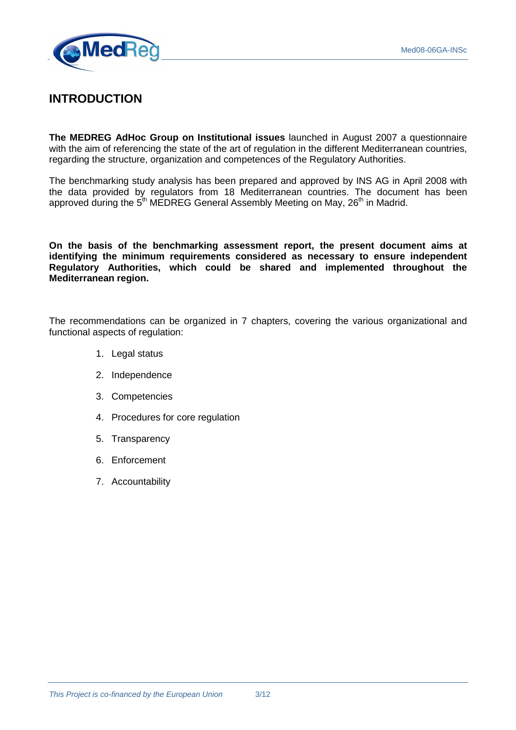

## **INTRODUCTION**

**The MEDREG AdHoc Group on Institutional issues** launched in August 2007 a questionnaire with the aim of referencing the state of the art of regulation in the different Mediterranean countries, regarding the structure, organization and competences of the Regulatory Authorities.

The benchmarking study analysis has been prepared and approved by INS AG in April 2008 with the data provided by regulators from 18 Mediterranean countries. The document has been approved during the  $5<sup>th</sup>$  MEDREG General Assembly Meeting on May,  $26<sup>th</sup>$  in Madrid.

**On the basis of the benchmarking assessment report, the present document aims at identifying the minimum requirements considered as necessary to ensure independent Regulatory Authorities, which could be shared and implemented throughout the Mediterranean region.** 

The recommendations can be organized in 7 chapters, covering the various organizational and functional aspects of regulation:

- 1. Legal status
- 2. Independence
- 3. Competencies
- 4. Procedures for core regulation
- 5. Transparency
- 6. Enforcement
- 7. Accountability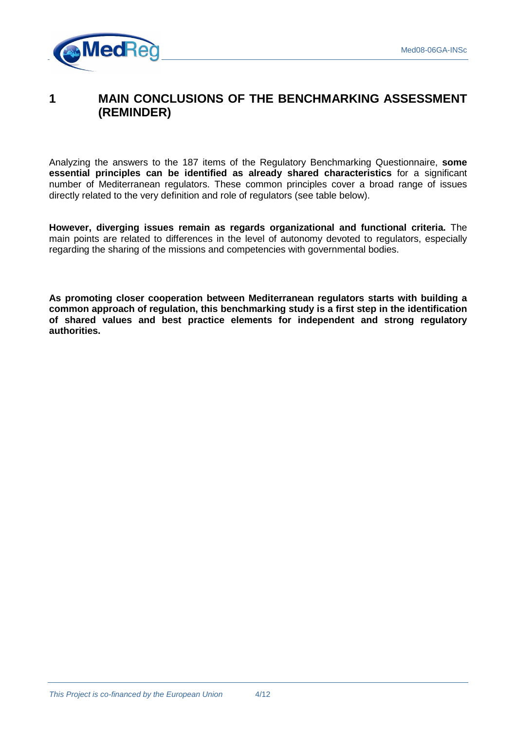

### **1 MAIN CONCLUSIONS OF THE BENCHMARKING ASSESSMENT (REMINDER)**

Analyzing the answers to the 187 items of the Regulatory Benchmarking Questionnaire, **some essential principles can be identified as already shared characteristics** for a significant number of Mediterranean regulators. These common principles cover a broad range of issues directly related to the very definition and role of regulators (see table below).

**However, diverging issues remain as regards organizational and functional criteria.** The main points are related to differences in the level of autonomy devoted to regulators, especially regarding the sharing of the missions and competencies with governmental bodies.

**As promoting closer cooperation between Mediterranean regulators starts with building a common approach of regulation, this benchmarking study is a first step in the identification of shared values and best practice elements for independent and strong regulatory authorities.**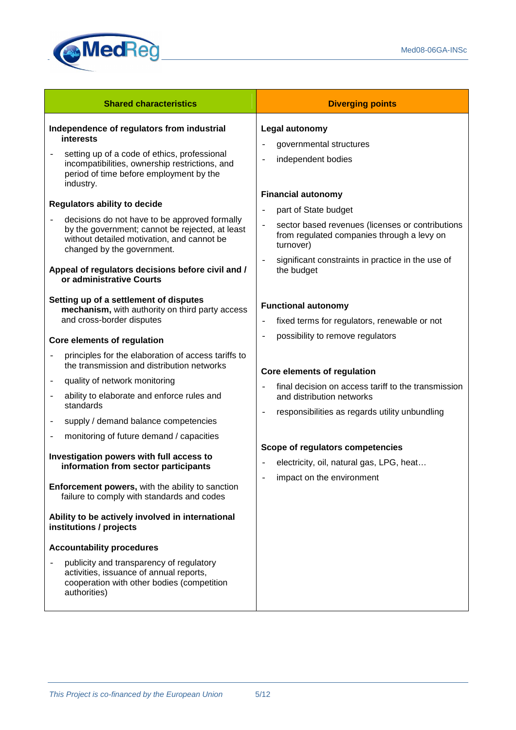

| <b>Shared characteristics</b>                                                                                                                                                                                                                                                                                             | <b>Diverging points</b>                                                                                                                                                                                                                                                                   |
|---------------------------------------------------------------------------------------------------------------------------------------------------------------------------------------------------------------------------------------------------------------------------------------------------------------------------|-------------------------------------------------------------------------------------------------------------------------------------------------------------------------------------------------------------------------------------------------------------------------------------------|
| Independence of regulators from industrial<br><b>interests</b><br>setting up of a code of ethics, professional<br>incompatibilities, ownership restrictions, and<br>period of time before employment by the<br>industry.                                                                                                  | Legal autonomy<br>governmental structures<br>$\qquad \qquad -$<br>independent bodies<br>$\qquad \qquad -$                                                                                                                                                                                 |
| <b>Regulators ability to decide</b><br>decisions do not have to be approved formally<br>by the government; cannot be rejected, at least<br>without detailed motivation, and cannot be<br>changed by the government.<br>Appeal of regulators decisions before civil and /<br>or administrative Courts                      | <b>Financial autonomy</b><br>part of State budget<br>$\overline{a}$<br>sector based revenues (licenses or contributions<br>$\overline{a}$<br>from regulated companies through a levy on<br>turnover)<br>significant constraints in practice in the use of<br>$\overline{a}$<br>the budget |
| Setting up of a settlement of disputes<br>mechanism, with authority on third party access<br>and cross-border disputes<br>Core elements of regulation                                                                                                                                                                     | <b>Functional autonomy</b><br>fixed terms for regulators, renewable or not<br>$\overline{\phantom{0}}$<br>possibility to remove regulators<br>$\overline{\phantom{0}}$                                                                                                                    |
| principles for the elaboration of access tariffs to<br>the transmission and distribution networks<br>quality of network monitoring<br>$\overline{\phantom{m}}$<br>ability to elaborate and enforce rules and<br>$\overline{\phantom{m}}$<br>standards<br>supply / demand balance competencies<br>$\overline{\phantom{a}}$ | Core elements of regulation<br>final decision on access tariff to the transmission<br>$\overline{a}$<br>and distribution networks<br>responsibilities as regards utility unbundling<br>$\overline{a}$                                                                                     |
| monitoring of future demand / capacities<br>Investigation powers with full access to<br>information from sector participants<br>Enforcement powers, with the ability to sanction<br>failure to comply with standards and codes<br>Ability to be actively involved in international                                        | Scope of regulators competencies<br>electricity, oil, natural gas, LPG, heat<br>impact on the environment                                                                                                                                                                                 |
| institutions / projects<br><b>Accountability procedures</b><br>publicity and transparency of regulatory<br>activities, issuance of annual reports,<br>cooperation with other bodies (competition<br>authorities)                                                                                                          |                                                                                                                                                                                                                                                                                           |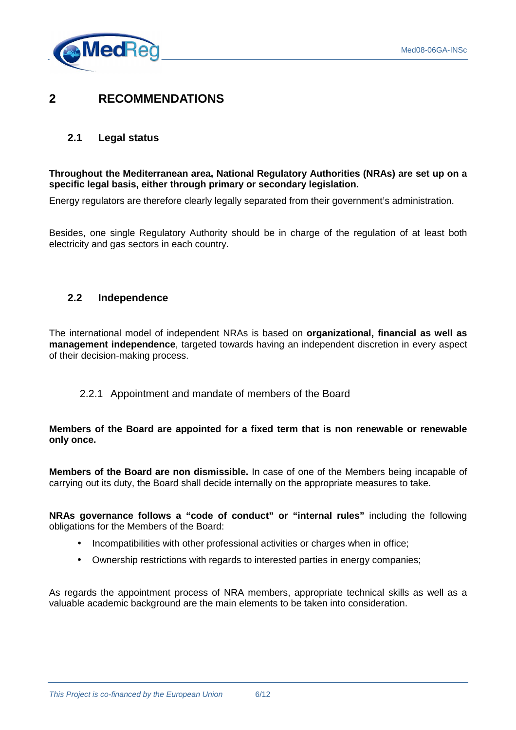

## **2 RECOMMENDATIONS**

#### **2.1 Legal status**

#### **Throughout the Mediterranean area, National Regulatory Authorities (NRAs) are set up on a specific legal basis, either through primary or secondary legislation.**

Energy regulators are therefore clearly legally separated from their government's administration.

Besides, one single Regulatory Authority should be in charge of the regulation of at least both electricity and gas sectors in each country.

#### **2.2 Independence**

The international model of independent NRAs is based on **organizational, financial as well as management independence**, targeted towards having an independent discretion in every aspect of their decision-making process.

#### 2.2.1 Appointment and mandate of members of the Board

#### **Members of the Board are appointed for a fixed term that is non renewable or renewable only once.**

**Members of the Board are non dismissible.** In case of one of the Members being incapable of carrying out its duty, the Board shall decide internally on the appropriate measures to take.

**NRAs governance follows a "code of conduct" or "internal rules"** including the following obligations for the Members of the Board:

- Incompatibilities with other professional activities or charges when in office;
- Ownership restrictions with regards to interested parties in energy companies;

As regards the appointment process of NRA members, appropriate technical skills as well as a valuable academic background are the main elements to be taken into consideration.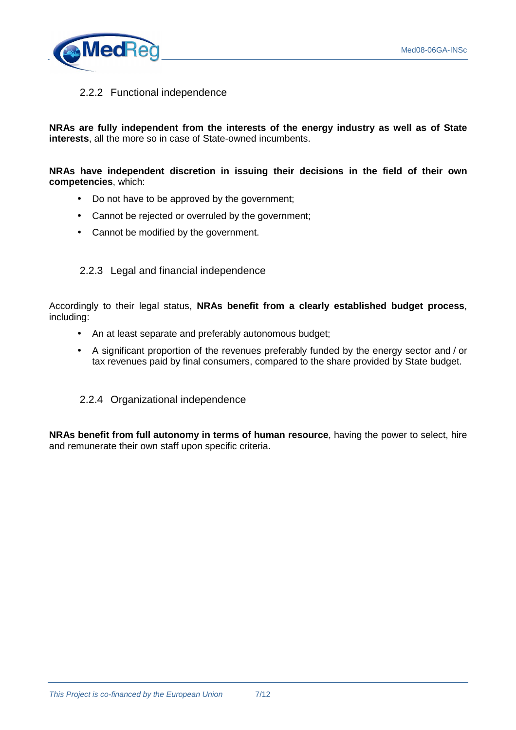

#### 2.2.2 Functional independence

**NRAs are fully independent from the interests of the energy industry as well as of State interests**, all the more so in case of State-owned incumbents.

**NRAs have independent discretion in issuing their decisions in the field of their own competencies**, which:

- Do not have to be approved by the government;
- Cannot be rejected or overruled by the government;
- Cannot be modified by the government.

#### 2.2.3 Legal and financial independence

Accordingly to their legal status, **NRAs benefit from a clearly established budget process**, including:

- An at least separate and preferably autonomous budget;
- A significant proportion of the revenues preferably funded by the energy sector and / or tax revenues paid by final consumers, compared to the share provided by State budget.
- 2.2.4 Organizational independence

**NRAs benefit from full autonomy in terms of human resource**, having the power to select, hire and remunerate their own staff upon specific criteria.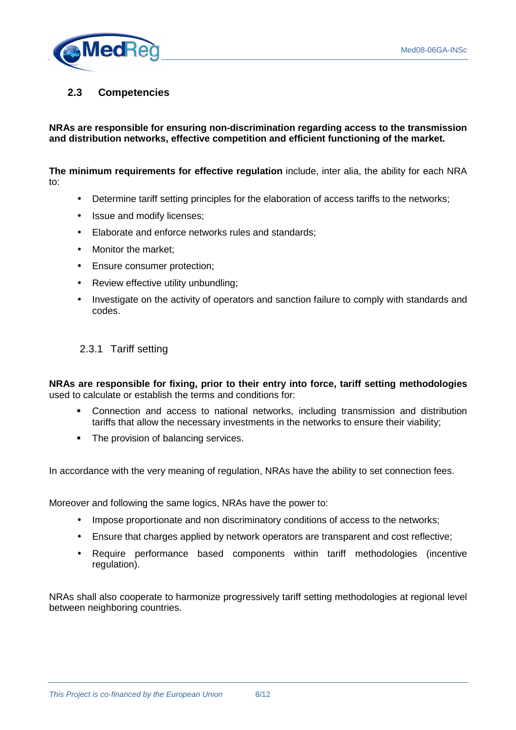

#### **2.3 Competencies**

#### **NRAs are responsible for ensuring non-discrimination regarding access to the transmission and distribution networks, effective competition and efficient functioning of the market.**

**The minimum requirements for effective regulation** include, inter alia, the ability for each NRA to:

- Determine tariff setting principles for the elaboration of access tariffs to the networks;
- Issue and modify licenses;
- Elaborate and enforce networks rules and standards;
- Monitor the market;
- Ensure consumer protection;
- Review effective utility unbundling:
- Investigate on the activity of operators and sanction failure to comply with standards and codes.

#### 2.3.1 Tariff setting

**NRAs are responsible for fixing, prior to their entry into force, tariff setting methodologies** used to calculate or establish the terms and conditions for:

- Connection and access to national networks, including transmission and distribution tariffs that allow the necessary investments in the networks to ensure their viability;
- The provision of balancing services.

In accordance with the very meaning of regulation, NRAs have the ability to set connection fees.

Moreover and following the same logics, NRAs have the power to:

- Impose proportionate and non discriminatory conditions of access to the networks;
- Ensure that charges applied by network operators are transparent and cost reflective;
- Require performance based components within tariff methodologies (incentive regulation).

NRAs shall also cooperate to harmonize progressively tariff setting methodologies at regional level between neighboring countries.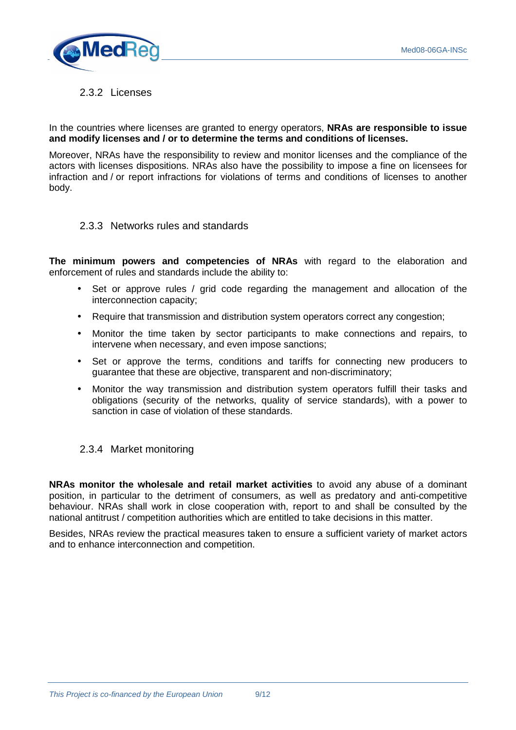

#### 2.3.2 Licenses

In the countries where licenses are granted to energy operators, **NRAs are responsible to issue and modify licenses and / or to determine the terms and conditions of licenses.** 

Moreover, NRAs have the responsibility to review and monitor licenses and the compliance of the actors with licenses dispositions. NRAs also have the possibility to impose a fine on licensees for infraction and / or report infractions for violations of terms and conditions of licenses to another body.

#### 2.3.3 Networks rules and standards

**The minimum powers and competencies of NRAs** with regard to the elaboration and enforcement of rules and standards include the ability to:

- Set or approve rules / grid code regarding the management and allocation of the interconnection capacity;
- Require that transmission and distribution system operators correct any congestion:
- Monitor the time taken by sector participants to make connections and repairs, to intervene when necessary, and even impose sanctions;
- Set or approve the terms, conditions and tariffs for connecting new producers to guarantee that these are objective, transparent and non-discriminatory;
- Monitor the way transmission and distribution system operators fulfill their tasks and obligations (security of the networks, quality of service standards), with a power to sanction in case of violation of these standards.

#### 2.3.4 Market monitoring

**NRAs monitor the wholesale and retail market activities** to avoid any abuse of a dominant position, in particular to the detriment of consumers, as well as predatory and anti-competitive behaviour. NRAs shall work in close cooperation with, report to and shall be consulted by the national antitrust / competition authorities which are entitled to take decisions in this matter.

Besides, NRAs review the practical measures taken to ensure a sufficient variety of market actors and to enhance interconnection and competition.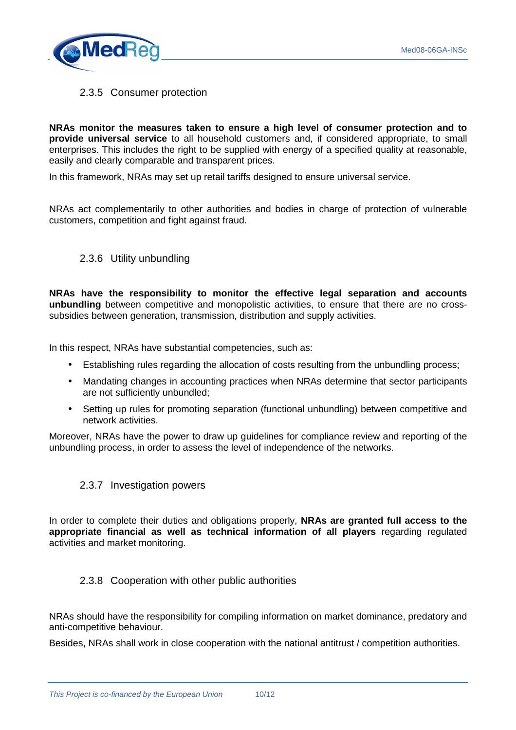

#### 2.3.5 Consumer protection

**NRAs monitor the measures taken to ensure a high level of consumer protection and to provide universal service** to all household customers and, if considered appropriate, to small enterprises. This includes the right to be supplied with energy of a specified quality at reasonable. easily and clearly comparable and transparent prices.

In this framework, NRAs may set up retail tariffs designed to ensure universal service.

NRAs act complementarily to other authorities and bodies in charge of protection of vulnerable customers, competition and fight against fraud.

#### 2.3.6 Utility unbundling

**NRAs have the responsibility to monitor the effective legal separation and accounts unbundling** between competitive and monopolistic activities, to ensure that there are no crosssubsidies between generation, transmission, distribution and supply activities.

In this respect, NRAs have substantial competencies, such as:

- Establishing rules regarding the allocation of costs resulting from the unbundling process;
- Mandating changes in accounting practices when NRAs determine that sector participants are not sufficiently unbundled;
- Setting up rules for promoting separation (functional unbundling) between competitive and network activities.

Moreover, NRAs have the power to draw up guidelines for compliance review and reporting of the unbundling process, in order to assess the level of independence of the networks.

#### 2.3.7 Investigation powers

In order to complete their duties and obligations properly, **NRAs are granted full access to the appropriate financial as well as technical information of all players** regarding regulated activities and market monitoring.

#### 2.3.8 Cooperation with other public authorities

NRAs should have the responsibility for compiling information on market dominance, predatory and anti-competitive behaviour.

Besides, NRAs shall work in close cooperation with the national antitrust / competition authorities.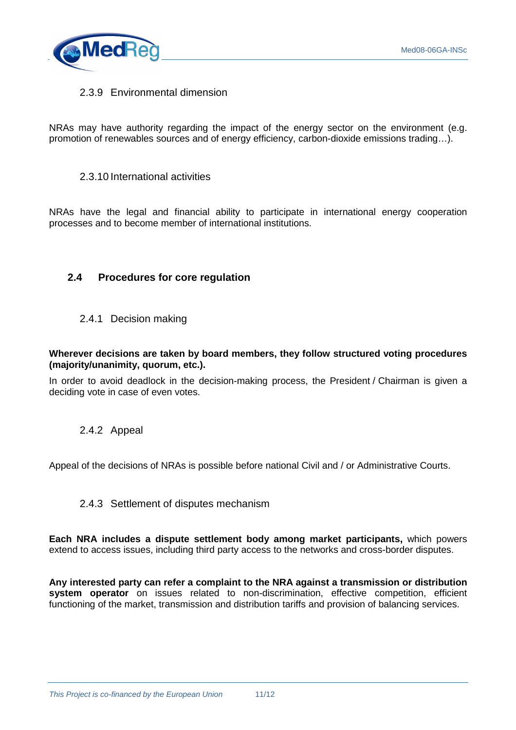

#### 2.3.9 Environmental dimension

NRAs may have authority regarding the impact of the energy sector on the environment (e.g. promotion of renewables sources and of energy efficiency, carbon-dioxide emissions trading…).

#### 2.3.10 International activities

NRAs have the legal and financial ability to participate in international energy cooperation processes and to become member of international institutions.

#### **2.4 Procedures for core regulation**

2.4.1 Decision making

#### **Wherever decisions are taken by board members, they follow structured voting procedures (majority/unanimity, quorum, etc.).**

In order to avoid deadlock in the decision-making process, the President / Chairman is given a deciding vote in case of even votes.

#### 2.4.2 Appeal

Appeal of the decisions of NRAs is possible before national Civil and / or Administrative Courts.

#### 2.4.3 Settlement of disputes mechanism

**Each NRA includes a dispute settlement body among market participants,** which powers extend to access issues, including third party access to the networks and cross-border disputes.

**Any interested party can refer a complaint to the NRA against a transmission or distribution system operator** on issues related to non-discrimination, effective competition, efficient functioning of the market, transmission and distribution tariffs and provision of balancing services.